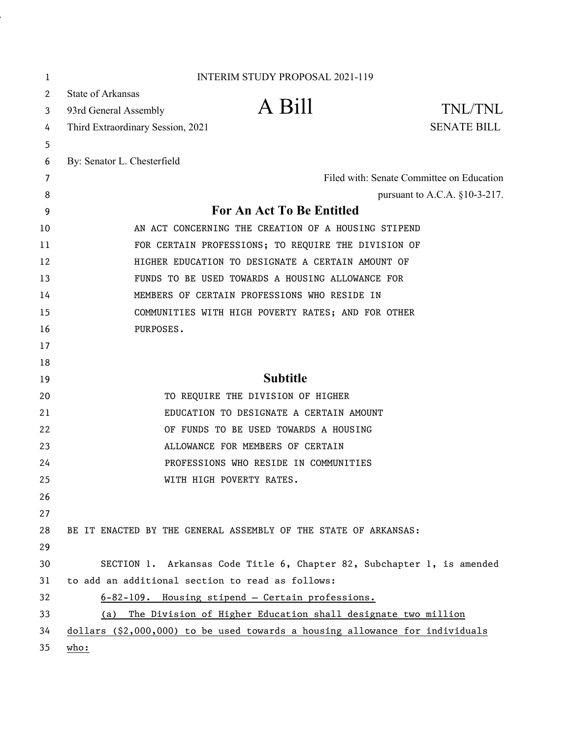| 1            |                                                                              | <b>INTERIM STUDY PROPOSAL 2021-119</b>                                 |                                           |
|--------------|------------------------------------------------------------------------------|------------------------------------------------------------------------|-------------------------------------------|
| $\mathbf{2}$ | <b>State of Arkansas</b>                                                     |                                                                        |                                           |
| 3            | 93rd General Assembly                                                        | A Bill                                                                 | TNL/TNL                                   |
| 4            | Third Extraordinary Session, 2021                                            |                                                                        | <b>SENATE BILL</b>                        |
| 5            |                                                                              |                                                                        |                                           |
| 6            | By: Senator L. Chesterfield                                                  |                                                                        |                                           |
| 7            |                                                                              |                                                                        | Filed with: Senate Committee on Education |
| 8            |                                                                              |                                                                        | pursuant to A.C.A. $§10-3-217$ .          |
| 9            | For An Act To Be Entitled                                                    |                                                                        |                                           |
| 10           | AN ACT CONCERNING THE CREATION OF A HOUSING STIPEND                          |                                                                        |                                           |
| 11           | FOR CERTAIN PROFESSIONS; TO REQUIRE THE DIVISION OF                          |                                                                        |                                           |
| 12           | HIGHER EDUCATION TO DESIGNATE A CERTAIN AMOUNT OF                            |                                                                        |                                           |
| 13           |                                                                              | FUNDS TO BE USED TOWARDS A HOUSING ALLOWANCE FOR                       |                                           |
| 14           | MEMBERS OF CERTAIN PROFESSIONS WHO RESIDE IN                                 |                                                                        |                                           |
| 15           |                                                                              | COMMUNITIES WITH HIGH POVERTY RATES; AND FOR OTHER                     |                                           |
| 16           | PURPOSES.                                                                    |                                                                        |                                           |
| 17           |                                                                              |                                                                        |                                           |
| 18           |                                                                              |                                                                        |                                           |
| 19           |                                                                              | <b>Subtitle</b>                                                        |                                           |
| 20           |                                                                              | TO REQUIRE THE DIVISION OF HIGHER                                      |                                           |
| 21           |                                                                              | EDUCATION TO DESIGNATE A CERTAIN AMOUNT                                |                                           |
| 22           |                                                                              | OF FUNDS TO BE USED TOWARDS A HOUSING                                  |                                           |
| 23           |                                                                              | ALLOWANCE FOR MEMBERS OF CERTAIN                                       |                                           |
| 24           |                                                                              | PROFESSIONS WHO RESIDE IN COMMUNITIES                                  |                                           |
| 25           | WITH HIGH POVERTY RATES.                                                     |                                                                        |                                           |
| 26           |                                                                              |                                                                        |                                           |
| 27           |                                                                              |                                                                        |                                           |
| 28           | BE IT ENACTED BY THE GENERAL ASSEMBLY OF THE STATE OF ARKANSAS:              |                                                                        |                                           |
| 29           |                                                                              |                                                                        |                                           |
| 30           |                                                                              | SECTION 1. Arkansas Code Title 6, Chapter 82, Subchapter 1, is amended |                                           |
| 31           | to add an additional section to read as follows:                             |                                                                        |                                           |
| 32           |                                                                              | 6-82-109. Housing stipend - Certain professions.                       |                                           |
| 33           | (a)                                                                          | The Division of Higher Education shall designate two million           |                                           |
| 34           | dollars (\$2,000,000) to be used towards a housing allowance for individuals |                                                                        |                                           |
| 35           | $\underline{who:}$                                                           |                                                                        |                                           |